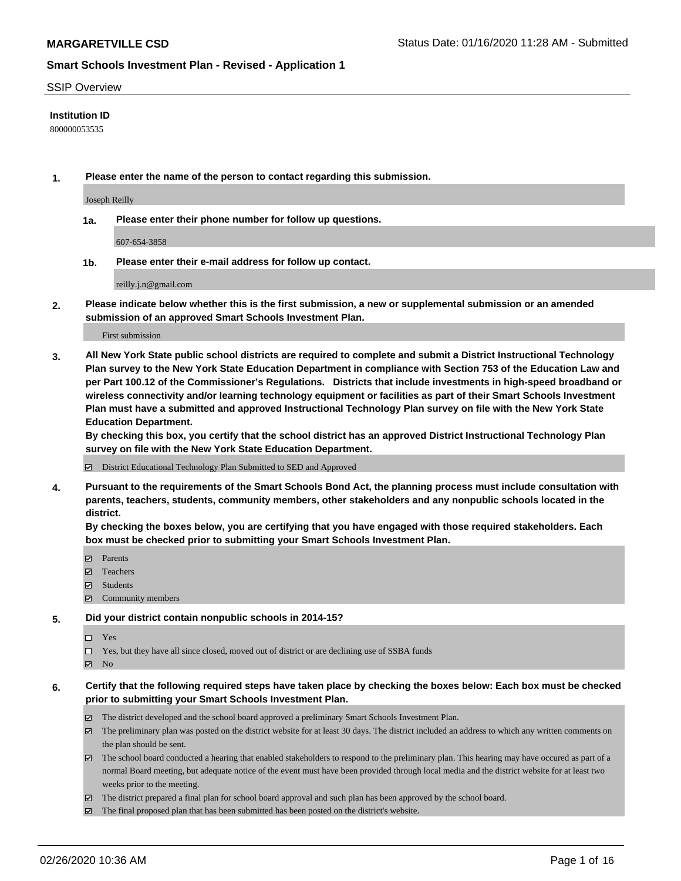#### SSIP Overview

#### **Institution ID**

800000053535

**1. Please enter the name of the person to contact regarding this submission.**

Joseph Reilly

**1a. Please enter their phone number for follow up questions.**

607-654-3858

**1b. Please enter their e-mail address for follow up contact.**

reilly.j.n@gmail.com

**2. Please indicate below whether this is the first submission, a new or supplemental submission or an amended submission of an approved Smart Schools Investment Plan.**

#### First submission

**3. All New York State public school districts are required to complete and submit a District Instructional Technology Plan survey to the New York State Education Department in compliance with Section 753 of the Education Law and per Part 100.12 of the Commissioner's Regulations. Districts that include investments in high-speed broadband or wireless connectivity and/or learning technology equipment or facilities as part of their Smart Schools Investment Plan must have a submitted and approved Instructional Technology Plan survey on file with the New York State Education Department.** 

**By checking this box, you certify that the school district has an approved District Instructional Technology Plan survey on file with the New York State Education Department.**

District Educational Technology Plan Submitted to SED and Approved

**4. Pursuant to the requirements of the Smart Schools Bond Act, the planning process must include consultation with parents, teachers, students, community members, other stakeholders and any nonpublic schools located in the district.** 

**By checking the boxes below, you are certifying that you have engaged with those required stakeholders. Each box must be checked prior to submitting your Smart Schools Investment Plan.**

- **マ** Parents
- Teachers
- Students
- $\Xi$  Community members

#### **5. Did your district contain nonpublic schools in 2014-15?**

 $\neg$  Yes

Yes, but they have all since closed, moved out of district or are declining use of SSBA funds

**Z** No

#### **6. Certify that the following required steps have taken place by checking the boxes below: Each box must be checked prior to submitting your Smart Schools Investment Plan.**

- The district developed and the school board approved a preliminary Smart Schools Investment Plan.
- $\boxtimes$  The preliminary plan was posted on the district website for at least 30 days. The district included an address to which any written comments on the plan should be sent.
- $\boxtimes$  The school board conducted a hearing that enabled stakeholders to respond to the preliminary plan. This hearing may have occured as part of a normal Board meeting, but adequate notice of the event must have been provided through local media and the district website for at least two weeks prior to the meeting.
- The district prepared a final plan for school board approval and such plan has been approved by the school board.
- $\boxtimes$  The final proposed plan that has been submitted has been posted on the district's website.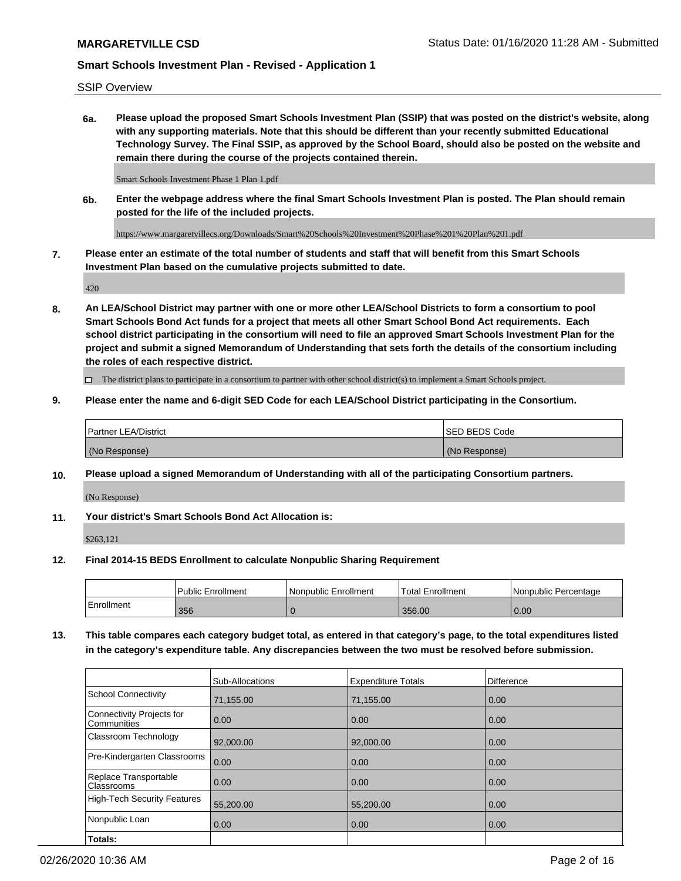SSIP Overview

**6a. Please upload the proposed Smart Schools Investment Plan (SSIP) that was posted on the district's website, along with any supporting materials. Note that this should be different than your recently submitted Educational Technology Survey. The Final SSIP, as approved by the School Board, should also be posted on the website and remain there during the course of the projects contained therein.**

Smart Schools Investment Phase 1 Plan 1.pdf

**6b. Enter the webpage address where the final Smart Schools Investment Plan is posted. The Plan should remain posted for the life of the included projects.**

https://www.margaretvillecs.org/Downloads/Smart%20Schools%20Investment%20Phase%201%20Plan%201.pdf

**7. Please enter an estimate of the total number of students and staff that will benefit from this Smart Schools Investment Plan based on the cumulative projects submitted to date.**

420

**8. An LEA/School District may partner with one or more other LEA/School Districts to form a consortium to pool Smart Schools Bond Act funds for a project that meets all other Smart School Bond Act requirements. Each school district participating in the consortium will need to file an approved Smart Schools Investment Plan for the project and submit a signed Memorandum of Understanding that sets forth the details of the consortium including the roles of each respective district.**

 $\Box$  The district plans to participate in a consortium to partner with other school district(s) to implement a Smart Schools project.

#### **9. Please enter the name and 6-digit SED Code for each LEA/School District participating in the Consortium.**

| Partner LEA/District | <b>ISED BEDS Code</b> |
|----------------------|-----------------------|
| (No Response)        | (No Response)         |

#### **10. Please upload a signed Memorandum of Understanding with all of the participating Consortium partners.**

(No Response)

**11. Your district's Smart Schools Bond Act Allocation is:**

\$263,121

#### **12. Final 2014-15 BEDS Enrollment to calculate Nonpublic Sharing Requirement**

|            | <b>Public Enrollment</b> | Nonpublic Enrollment | Total Enrollment | l Nonpublic Percentage |
|------------|--------------------------|----------------------|------------------|------------------------|
| Enrollment | 356                      |                      | 356.00           | 0.00                   |

**13. This table compares each category budget total, as entered in that category's page, to the total expenditures listed in the category's expenditure table. Any discrepancies between the two must be resolved before submission.**

|                                          | Sub-Allocations | <b>Expenditure Totals</b> | <b>Difference</b> |
|------------------------------------------|-----------------|---------------------------|-------------------|
| <b>School Connectivity</b>               | 71,155.00       | 71,155.00                 | 0.00              |
| Connectivity Projects for<br>Communities | 0.00            | 0.00                      | 0.00              |
| Classroom Technology                     | 92,000.00       | 92,000.00                 | 0.00              |
| Pre-Kindergarten Classrooms              | 0.00            | 0.00                      | 0.00              |
| Replace Transportable<br>Classrooms      | 0.00            | 0.00                      | 0.00              |
| High-Tech Security Features              | 55,200.00       | 55,200.00                 | 0.00              |
| Nonpublic Loan                           | 0.00            | 0.00                      | 0.00              |
| Totals:                                  |                 |                           |                   |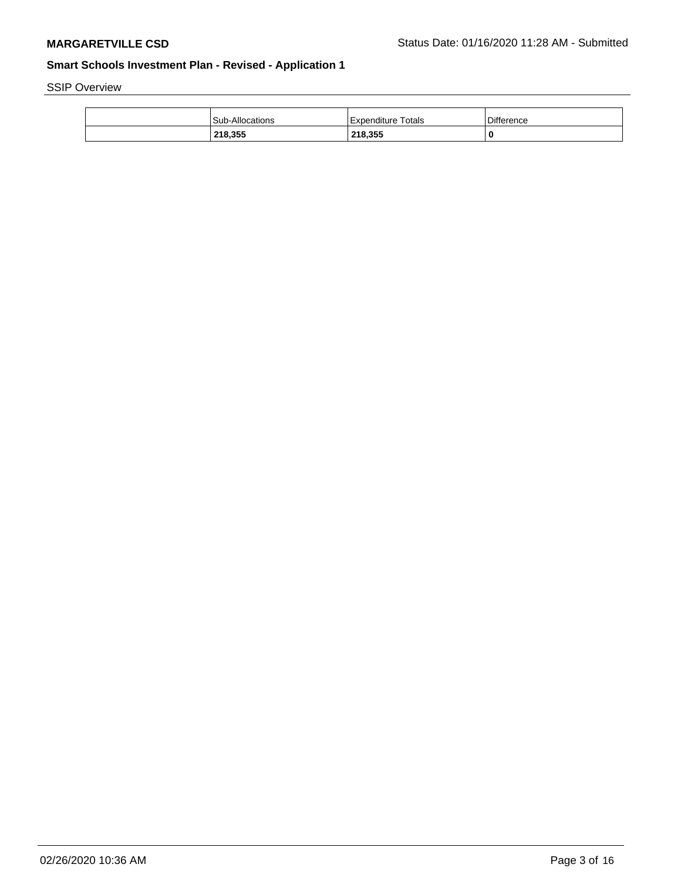SSIP Overview

| Sub-Allocations | Expenditure Totals | Difference |
|-----------------|--------------------|------------|
| 218,355         | 218.355            |            |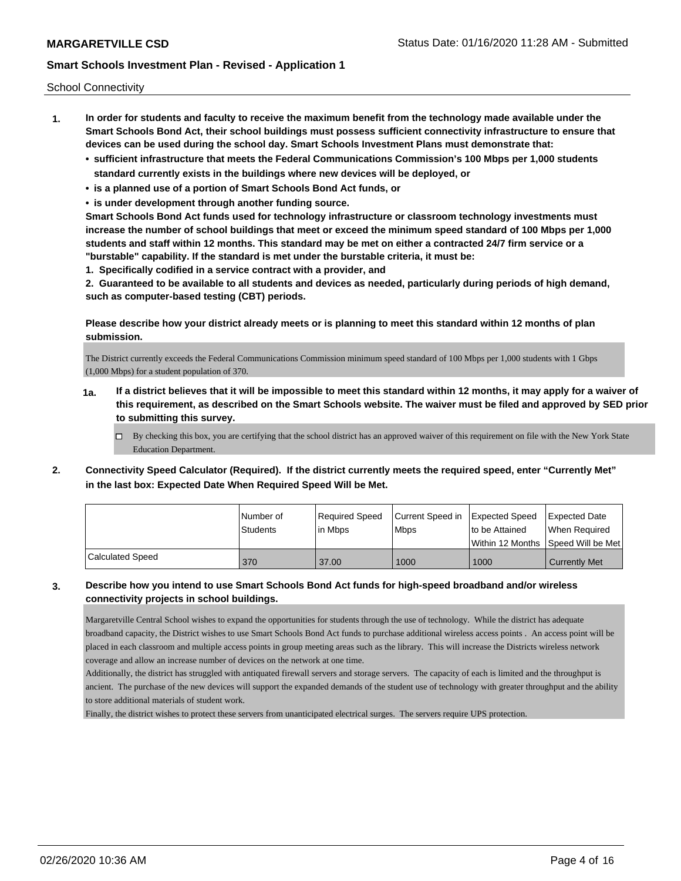School Connectivity

- **1. In order for students and faculty to receive the maximum benefit from the technology made available under the Smart Schools Bond Act, their school buildings must possess sufficient connectivity infrastructure to ensure that devices can be used during the school day. Smart Schools Investment Plans must demonstrate that:**
	- **• sufficient infrastructure that meets the Federal Communications Commission's 100 Mbps per 1,000 students standard currently exists in the buildings where new devices will be deployed, or**
	- **• is a planned use of a portion of Smart Schools Bond Act funds, or**
	- **• is under development through another funding source.**

**Smart Schools Bond Act funds used for technology infrastructure or classroom technology investments must increase the number of school buildings that meet or exceed the minimum speed standard of 100 Mbps per 1,000 students and staff within 12 months. This standard may be met on either a contracted 24/7 firm service or a "burstable" capability. If the standard is met under the burstable criteria, it must be:**

**1. Specifically codified in a service contract with a provider, and**

**2. Guaranteed to be available to all students and devices as needed, particularly during periods of high demand, such as computer-based testing (CBT) periods.**

**Please describe how your district already meets or is planning to meet this standard within 12 months of plan submission.**

The District currently exceeds the Federal Communications Commission minimum speed standard of 100 Mbps per 1,000 students with 1 Gbps (1,000 Mbps) for a student population of 370.

- **1a. If a district believes that it will be impossible to meet this standard within 12 months, it may apply for a waiver of this requirement, as described on the Smart Schools website. The waiver must be filed and approved by SED prior to submitting this survey.**
	- $\Box$  By checking this box, you are certifying that the school district has an approved waiver of this requirement on file with the New York State Education Department.
- **2. Connectivity Speed Calculator (Required). If the district currently meets the required speed, enter "Currently Met" in the last box: Expected Date When Required Speed Will be Met.**

|                         | l Number of     | Required Speed | Current Speed in Expected Speed |                | <b>Expected Date</b>                 |
|-------------------------|-----------------|----------------|---------------------------------|----------------|--------------------------------------|
|                         | <b>Students</b> | lin Mbps       | <b>Mbps</b>                     | to be Attained | When Required                        |
|                         |                 |                |                                 |                | Within 12 Months 1Speed Will be Met1 |
| <b>Calculated Speed</b> | 370             | 37.00          | 1000                            | 1000           | <b>Currently Met</b>                 |

## **3. Describe how you intend to use Smart Schools Bond Act funds for high-speed broadband and/or wireless connectivity projects in school buildings.**

Margaretville Central School wishes to expand the opportunities for students through the use of technology. While the district has adequate broadband capacity, the District wishes to use Smart Schools Bond Act funds to purchase additional wireless access points . An access point will be placed in each classroom and multiple access points in group meeting areas such as the library. This will increase the Districts wireless network coverage and allow an increase number of devices on the network at one time.

Additionally, the district has struggled with antiquated firewall servers and storage servers. The capacity of each is limited and the throughput is ancient. The purchase of the new devices will support the expanded demands of the student use of technology with greater throughput and the ability to store additional materials of student work.

Finally, the district wishes to protect these servers from unanticipated electrical surges. The servers require UPS protection.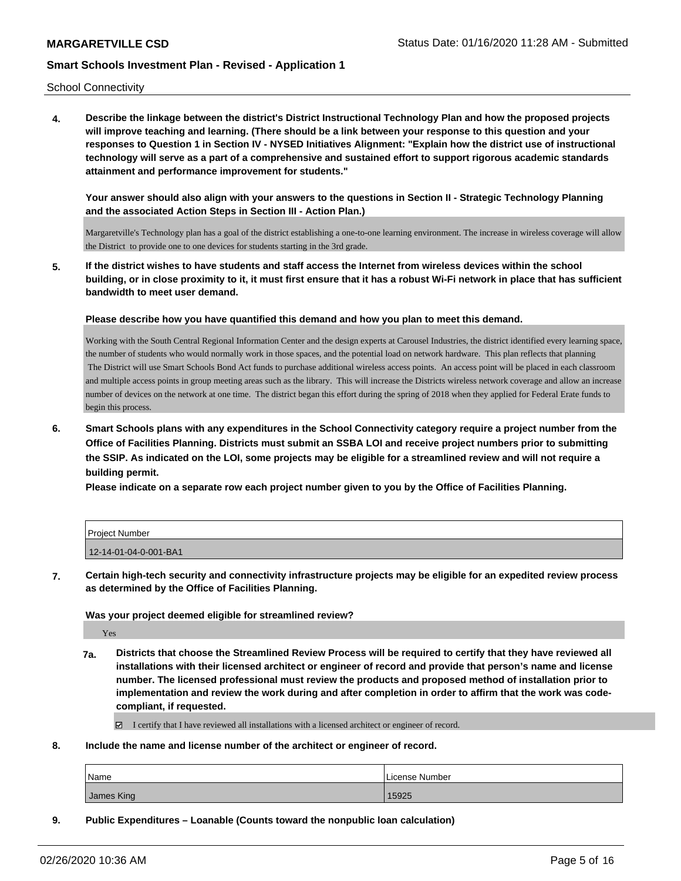School Connectivity

**4. Describe the linkage between the district's District Instructional Technology Plan and how the proposed projects will improve teaching and learning. (There should be a link between your response to this question and your responses to Question 1 in Section IV - NYSED Initiatives Alignment: "Explain how the district use of instructional technology will serve as a part of a comprehensive and sustained effort to support rigorous academic standards attainment and performance improvement for students."** 

**Your answer should also align with your answers to the questions in Section II - Strategic Technology Planning and the associated Action Steps in Section III - Action Plan.)**

Margaretville's Technology plan has a goal of the district establishing a one-to-one learning environment. The increase in wireless coverage will allow the District to provide one to one devices for students starting in the 3rd grade.

**5. If the district wishes to have students and staff access the Internet from wireless devices within the school building, or in close proximity to it, it must first ensure that it has a robust Wi-Fi network in place that has sufficient bandwidth to meet user demand.**

**Please describe how you have quantified this demand and how you plan to meet this demand.**

Working with the South Central Regional Information Center and the design experts at Carousel Industries, the district identified every learning space, the number of students who would normally work in those spaces, and the potential load on network hardware. This plan reflects that planning The District will use Smart Schools Bond Act funds to purchase additional wireless access points. An access point will be placed in each classroom and multiple access points in group meeting areas such as the library. This will increase the Districts wireless network coverage and allow an increase number of devices on the network at one time. The district began this effort during the spring of 2018 when they applied for Federal Erate funds to begin this process.

**6. Smart Schools plans with any expenditures in the School Connectivity category require a project number from the Office of Facilities Planning. Districts must submit an SSBA LOI and receive project numbers prior to submitting the SSIP. As indicated on the LOI, some projects may be eligible for a streamlined review and will not require a building permit.**

**Please indicate on a separate row each project number given to you by the Office of Facilities Planning.**

| <b>Project Number</b> |  |
|-----------------------|--|
| 12-14-01-04-0-001-BA1 |  |

**7. Certain high-tech security and connectivity infrastructure projects may be eligible for an expedited review process as determined by the Office of Facilities Planning.**

#### **Was your project deemed eligible for streamlined review?**

Yes

**7a. Districts that choose the Streamlined Review Process will be required to certify that they have reviewed all installations with their licensed architect or engineer of record and provide that person's name and license number. The licensed professional must review the products and proposed method of installation prior to implementation and review the work during and after completion in order to affirm that the work was codecompliant, if requested.**

 $\boxtimes$  I certify that I have reviewed all installations with a licensed architect or engineer of record.

**8. Include the name and license number of the architect or engineer of record.**

| Name       | . License Number |
|------------|------------------|
| James King | 15925            |

**9. Public Expenditures – Loanable (Counts toward the nonpublic loan calculation)**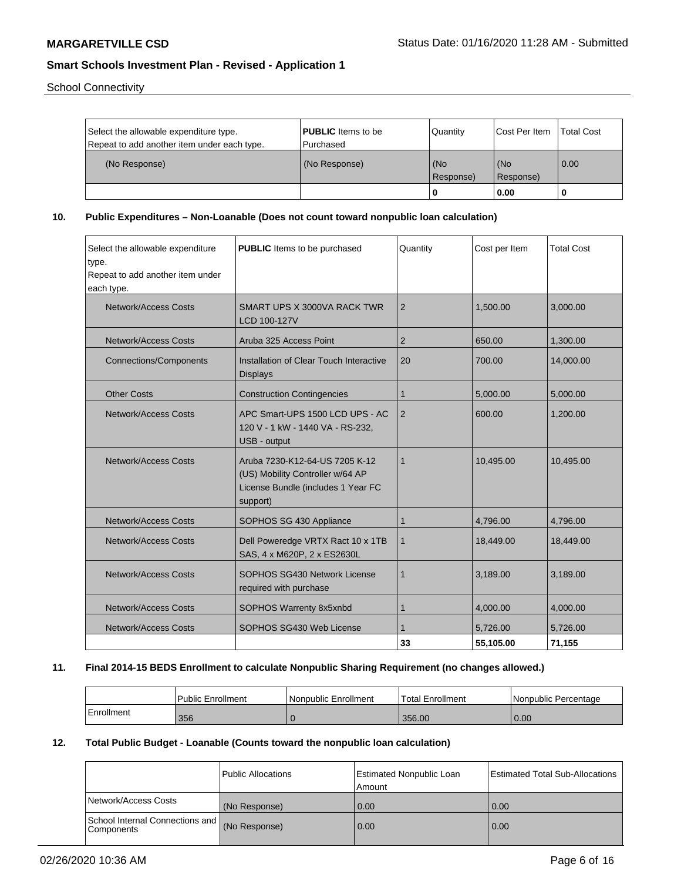School Connectivity

| Select the allowable expenditure type.<br>Repeat to add another item under each type. | <b>PUBLIC</b> Items to be<br>l Purchased | Quantity         | <b>Cost Per Item</b> | <b>Total Cost</b> |
|---------------------------------------------------------------------------------------|------------------------------------------|------------------|----------------------|-------------------|
| (No Response)                                                                         | (No Response)                            | (No<br>Response) | (No<br>(Response)    | 0.00              |
|                                                                                       |                                          |                  | 0.00                 |                   |

**10. Public Expenditures – Non-Loanable (Does not count toward nonpublic loan calculation)**

| Select the allowable expenditure<br>type.<br>Repeat to add another item under<br>each type. | <b>PUBLIC</b> Items to be purchased                                                                                  | Quantity    | Cost per Item | <b>Total Cost</b> |
|---------------------------------------------------------------------------------------------|----------------------------------------------------------------------------------------------------------------------|-------------|---------------|-------------------|
| Network/Access Costs                                                                        | SMART UPS X 3000VA RACK TWR<br>LCD 100-127V                                                                          | 2           | 1.500.00      | 3,000.00          |
| <b>Network/Access Costs</b>                                                                 | Aruba 325 Access Point                                                                                               | 2           | 650.00        | 1,300.00          |
| <b>Connections/Components</b>                                                               | Installation of Clear Touch Interactive<br><b>Displays</b>                                                           | 20          | 700.00        | 14,000.00         |
| <b>Other Costs</b>                                                                          | <b>Construction Contingencies</b>                                                                                    | 1           | 5,000.00      | 5,000.00          |
| Network/Access Costs                                                                        | APC Smart-UPS 1500 LCD UPS - AC<br>120 V - 1 kW - 1440 VA - RS-232.<br>USB - output                                  | 2           | 600.00        | 1,200.00          |
| Network/Access Costs                                                                        | Aruba 7230-K12-64-US 7205 K-12<br>(US) Mobility Controller w/64 AP<br>License Bundle (includes 1 Year FC<br>support) | $\mathbf 1$ | 10,495.00     | 10,495.00         |
| <b>Network/Access Costs</b>                                                                 | SOPHOS SG 430 Appliance                                                                                              | 1           | 4,796.00      | 4,796.00          |
| <b>Network/Access Costs</b>                                                                 | Dell Poweredge VRTX Ract 10 x 1TB<br>SAS, 4 x M620P, 2 x ES2630L                                                     | 1           | 18,449.00     | 18,449.00         |
| <b>Network/Access Costs</b>                                                                 | SOPHOS SG430 Network License<br>required with purchase                                                               | 1           | 3,189.00      | 3,189.00          |
| <b>Network/Access Costs</b>                                                                 | SOPHOS Warrenty 8x5xnbd                                                                                              | 1           | 4,000.00      | 4,000.00          |
| Network/Access Costs                                                                        | SOPHOS SG430 Web License                                                                                             |             | 5,726.00      | 5,726.00          |
|                                                                                             |                                                                                                                      | 33          | 55.105.00     | 71,155            |

#### **11. Final 2014-15 BEDS Enrollment to calculate Nonpublic Sharing Requirement (no changes allowed.)**

|            | l Public Enrollment | Nonpublic Enrollment | Total Enrollment | l Nonpublic Percentage |
|------------|---------------------|----------------------|------------------|------------------------|
| Enrollment | 356                 |                      | 356.00           | 0.00                   |

#### **12. Total Public Budget - Loanable (Counts toward the nonpublic loan calculation)**

|                                                             | Public Allocations | <b>Estimated Nonpublic Loan</b><br>Amount | <b>Estimated Total Sub-Allocations</b> |
|-------------------------------------------------------------|--------------------|-------------------------------------------|----------------------------------------|
| Network/Access Costs                                        | (No Response)      | 0.00                                      | 0.00                                   |
| School Internal Connections and (No Response)<br>Components |                    | 0.00                                      | 0.00                                   |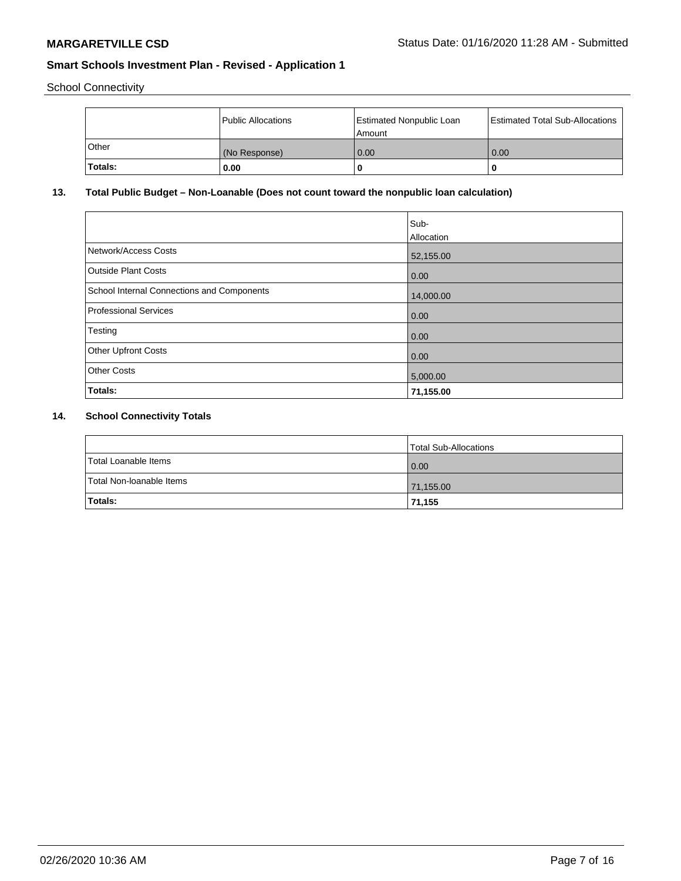School Connectivity

|         | Public Allocations | Estimated Nonpublic Loan<br>l Amount i | Estimated Total Sub-Allocations |
|---------|--------------------|----------------------------------------|---------------------------------|
| l Other | (No Response)      | 0.00                                   | 0.00                            |
| Totals: | 0.00               | 0                                      | 0                               |

## **13. Total Public Budget – Non-Loanable (Does not count toward the nonpublic loan calculation)**

|                                            | Sub-<br>Allocation |
|--------------------------------------------|--------------------|
| Network/Access Costs                       | 52,155.00          |
| <b>Outside Plant Costs</b>                 | 0.00               |
| School Internal Connections and Components | 14,000.00          |
| <b>Professional Services</b>               | 0.00               |
| Testing                                    | 0.00               |
| <b>Other Upfront Costs</b>                 | 0.00               |
| <b>Other Costs</b>                         | 5,000.00           |
| Totals:                                    | 71,155.00          |

## **14. School Connectivity Totals**

|                          | Total Sub-Allocations |
|--------------------------|-----------------------|
| Total Loanable Items     | 0.00                  |
| Total Non-Ioanable Items | 71,155.00             |
| Totals:                  | 71,155                |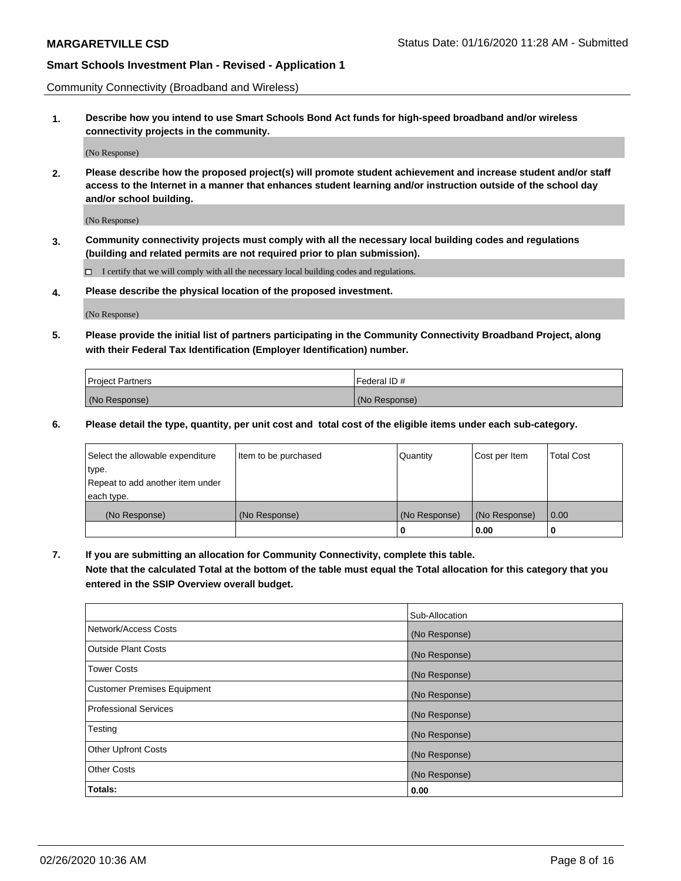Community Connectivity (Broadband and Wireless)

**1. Describe how you intend to use Smart Schools Bond Act funds for high-speed broadband and/or wireless connectivity projects in the community.**

(No Response)

**2. Please describe how the proposed project(s) will promote student achievement and increase student and/or staff access to the Internet in a manner that enhances student learning and/or instruction outside of the school day and/or school building.**

(No Response)

**3. Community connectivity projects must comply with all the necessary local building codes and regulations (building and related permits are not required prior to plan submission).**

 $\Box$  I certify that we will comply with all the necessary local building codes and regulations.

**4. Please describe the physical location of the proposed investment.**

(No Response)

**5. Please provide the initial list of partners participating in the Community Connectivity Broadband Project, along with their Federal Tax Identification (Employer Identification) number.**

| <b>Project Partners</b> | l Federal ID # |
|-------------------------|----------------|
| (No Response)           | (No Response)  |

**6. Please detail the type, quantity, per unit cost and total cost of the eligible items under each sub-category.**

| Select the allowable expenditure | Item to be purchased | Quantity      | Cost per Item | <b>Total Cost</b> |
|----------------------------------|----------------------|---------------|---------------|-------------------|
| type.                            |                      |               |               |                   |
| Repeat to add another item under |                      |               |               |                   |
| each type.                       |                      |               |               |                   |
| (No Response)                    | (No Response)        | (No Response) | (No Response) | 0.00              |
|                                  |                      | U             | 0.00          |                   |

**7. If you are submitting an allocation for Community Connectivity, complete this table.**

**Note that the calculated Total at the bottom of the table must equal the Total allocation for this category that you entered in the SSIP Overview overall budget.**

|                                    | Sub-Allocation |
|------------------------------------|----------------|
| Network/Access Costs               | (No Response)  |
| Outside Plant Costs                | (No Response)  |
| <b>Tower Costs</b>                 | (No Response)  |
| <b>Customer Premises Equipment</b> | (No Response)  |
| <b>Professional Services</b>       | (No Response)  |
| Testing                            | (No Response)  |
| <b>Other Upfront Costs</b>         | (No Response)  |
| <b>Other Costs</b>                 | (No Response)  |
| Totals:                            | 0.00           |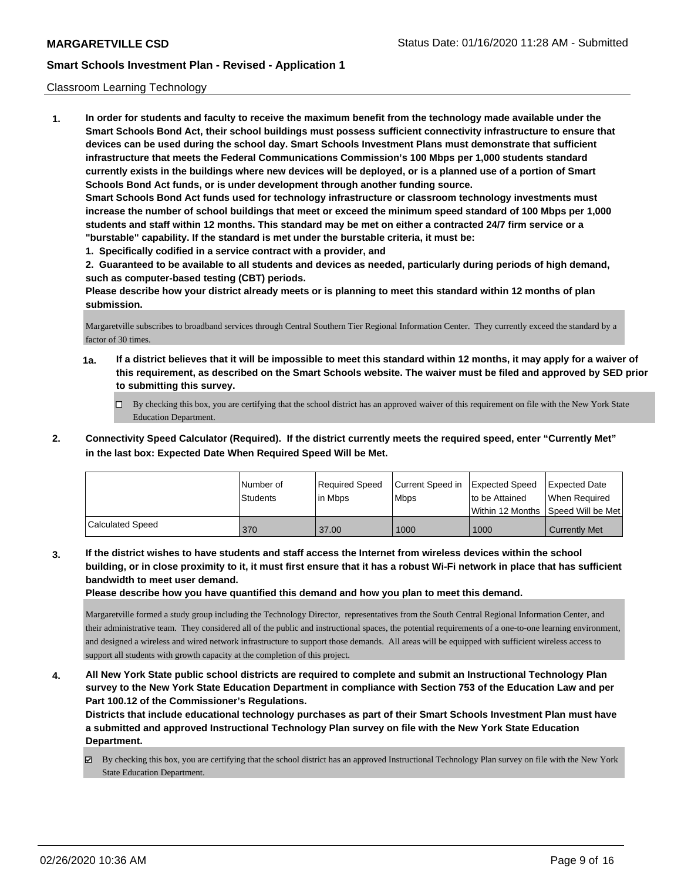#### Classroom Learning Technology

**1. In order for students and faculty to receive the maximum benefit from the technology made available under the Smart Schools Bond Act, their school buildings must possess sufficient connectivity infrastructure to ensure that devices can be used during the school day. Smart Schools Investment Plans must demonstrate that sufficient infrastructure that meets the Federal Communications Commission's 100 Mbps per 1,000 students standard currently exists in the buildings where new devices will be deployed, or is a planned use of a portion of Smart Schools Bond Act funds, or is under development through another funding source. Smart Schools Bond Act funds used for technology infrastructure or classroom technology investments must increase the number of school buildings that meet or exceed the minimum speed standard of 100 Mbps per 1,000 students and staff within 12 months. This standard may be met on either a contracted 24/7 firm service or a "burstable" capability. If the standard is met under the burstable criteria, it must be:**

**1. Specifically codified in a service contract with a provider, and**

**2. Guaranteed to be available to all students and devices as needed, particularly during periods of high demand, such as computer-based testing (CBT) periods.**

**Please describe how your district already meets or is planning to meet this standard within 12 months of plan submission.**

Margaretville subscribes to broadband services through Central Southern Tier Regional Information Center. They currently exceed the standard by a factor of 30 times.

- **1a. If a district believes that it will be impossible to meet this standard within 12 months, it may apply for a waiver of this requirement, as described on the Smart Schools website. The waiver must be filed and approved by SED prior to submitting this survey.**
	- By checking this box, you are certifying that the school district has an approved waiver of this requirement on file with the New York State Education Department.
- **2. Connectivity Speed Calculator (Required). If the district currently meets the required speed, enter "Currently Met" in the last box: Expected Date When Required Speed Will be Met.**

|                         | l Number of<br>Students | Required Speed<br>l in Mbps | Current Speed in Expected Speed<br>l Mbps | to be Attained | <b>Expected Date</b><br>When Required<br>Within 12 Months ISpeed Will be Met l |
|-------------------------|-------------------------|-----------------------------|-------------------------------------------|----------------|--------------------------------------------------------------------------------|
| <b>Calculated Speed</b> | 370                     | 37.00                       | 1000                                      | 1000           | Currently Met                                                                  |

**3. If the district wishes to have students and staff access the Internet from wireless devices within the school building, or in close proximity to it, it must first ensure that it has a robust Wi-Fi network in place that has sufficient bandwidth to meet user demand.**

**Please describe how you have quantified this demand and how you plan to meet this demand.**

Margaretville formed a study group including the Technology Director, representatives from the South Central Regional Information Center, and their administrative team. They considered all of the public and instructional spaces, the potential requirements of a one-to-one learning environment, and designed a wireless and wired network infrastructure to support those demands. All areas will be equipped with sufficient wireless access to support all students with growth capacity at the completion of this project.

**4. All New York State public school districts are required to complete and submit an Instructional Technology Plan survey to the New York State Education Department in compliance with Section 753 of the Education Law and per Part 100.12 of the Commissioner's Regulations.**

**Districts that include educational technology purchases as part of their Smart Schools Investment Plan must have a submitted and approved Instructional Technology Plan survey on file with the New York State Education Department.**

By checking this box, you are certifying that the school district has an approved Instructional Technology Plan survey on file with the New York State Education Department.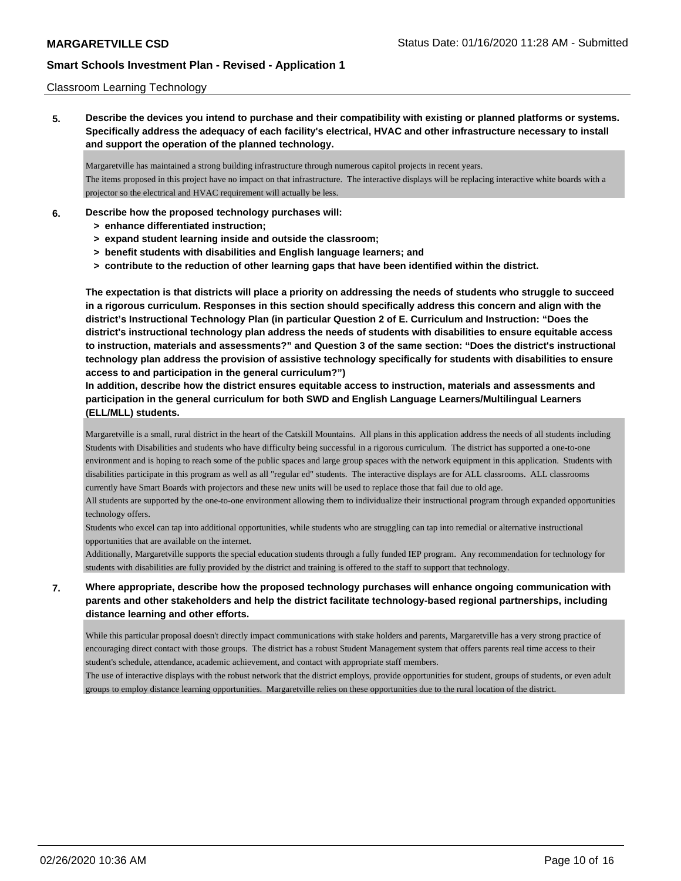#### Classroom Learning Technology

**5. Describe the devices you intend to purchase and their compatibility with existing or planned platforms or systems. Specifically address the adequacy of each facility's electrical, HVAC and other infrastructure necessary to install and support the operation of the planned technology.**

Margaretville has maintained a strong building infrastructure through numerous capitol projects in recent years. The items proposed in this project have no impact on that infrastructure. The interactive displays will be replacing interactive white boards with a projector so the electrical and HVAC requirement will actually be less.

- **6. Describe how the proposed technology purchases will:**
	- **> enhance differentiated instruction;**
	- **> expand student learning inside and outside the classroom;**
	- **> benefit students with disabilities and English language learners; and**
	- **> contribute to the reduction of other learning gaps that have been identified within the district.**

**The expectation is that districts will place a priority on addressing the needs of students who struggle to succeed in a rigorous curriculum. Responses in this section should specifically address this concern and align with the district's Instructional Technology Plan (in particular Question 2 of E. Curriculum and Instruction: "Does the district's instructional technology plan address the needs of students with disabilities to ensure equitable access to instruction, materials and assessments?" and Question 3 of the same section: "Does the district's instructional technology plan address the provision of assistive technology specifically for students with disabilities to ensure access to and participation in the general curriculum?")**

**In addition, describe how the district ensures equitable access to instruction, materials and assessments and participation in the general curriculum for both SWD and English Language Learners/Multilingual Learners (ELL/MLL) students.**

Margaretville is a small, rural district in the heart of the Catskill Mountains. All plans in this application address the needs of all students including Students with Disabilities and students who have difficulty being successful in a rigorous curriculum. The district has supported a one-to-one environment and is hoping to reach some of the public spaces and large group spaces with the network equipment in this application. Students with disabilities participate in this program as well as all "regular ed" students. The interactive displays are for ALL classrooms. ALL classrooms currently have Smart Boards with projectors and these new units will be used to replace those that fail due to old age.

All students are supported by the one-to-one environment allowing them to individualize their instructional program through expanded opportunities technology offers.

Students who excel can tap into additional opportunities, while students who are struggling can tap into remedial or alternative instructional opportunities that are available on the internet.

Additionally, Margaretville supports the special education students through a fully funded IEP program. Any recommendation for technology for students with disabilities are fully provided by the district and training is offered to the staff to support that technology.

## **7. Where appropriate, describe how the proposed technology purchases will enhance ongoing communication with parents and other stakeholders and help the district facilitate technology-based regional partnerships, including distance learning and other efforts.**

While this particular proposal doesn't directly impact communications with stake holders and parents, Margaretville has a very strong practice of encouraging direct contact with those groups. The district has a robust Student Management system that offers parents real time access to their student's schedule, attendance, academic achievement, and contact with appropriate staff members.

The use of interactive displays with the robust network that the district employs, provide opportunities for student, groups of students, or even adult groups to employ distance learning opportunities. Margaretville relies on these opportunities due to the rural location of the district.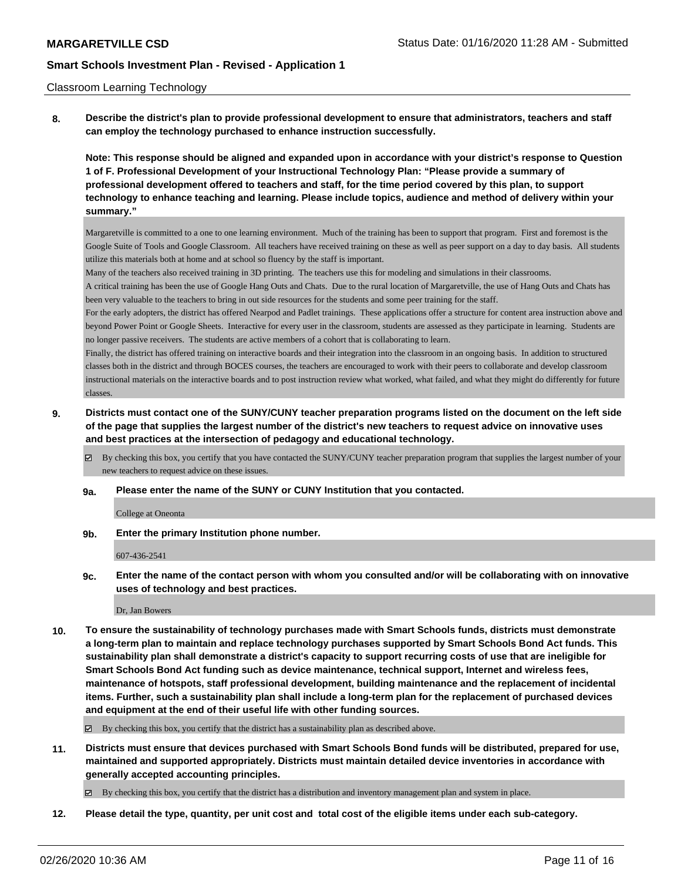#### Classroom Learning Technology

**8. Describe the district's plan to provide professional development to ensure that administrators, teachers and staff can employ the technology purchased to enhance instruction successfully.**

**Note: This response should be aligned and expanded upon in accordance with your district's response to Question 1 of F. Professional Development of your Instructional Technology Plan: "Please provide a summary of professional development offered to teachers and staff, for the time period covered by this plan, to support technology to enhance teaching and learning. Please include topics, audience and method of delivery within your summary."**

Margaretville is committed to a one to one learning environment. Much of the training has been to support that program. First and foremost is the Google Suite of Tools and Google Classroom. All teachers have received training on these as well as peer support on a day to day basis. All students utilize this materials both at home and at school so fluency by the staff is important.

Many of the teachers also received training in 3D printing. The teachers use this for modeling and simulations in their classrooms. A critical training has been the use of Google Hang Outs and Chats. Due to the rural location of Margaretville, the use of Hang Outs and Chats has

been very valuable to the teachers to bring in out side resources for the students and some peer training for the staff. For the early adopters, the district has offered Nearpod and Padlet trainings. These applications offer a structure for content area instruction above and

beyond Power Point or Google Sheets. Interactive for every user in the classroom, students are assessed as they participate in learning. Students are no longer passive receivers. The students are active members of a cohort that is collaborating to learn.

Finally, the district has offered training on interactive boards and their integration into the classroom in an ongoing basis. In addition to structured classes both in the district and through BOCES courses, the teachers are encouraged to work with their peers to collaborate and develop classroom instructional materials on the interactive boards and to post instruction review what worked, what failed, and what they might do differently for future classes.

- **9. Districts must contact one of the SUNY/CUNY teacher preparation programs listed on the document on the left side of the page that supplies the largest number of the district's new teachers to request advice on innovative uses and best practices at the intersection of pedagogy and educational technology.**
	- By checking this box, you certify that you have contacted the SUNY/CUNY teacher preparation program that supplies the largest number of your new teachers to request advice on these issues.
	- **9a. Please enter the name of the SUNY or CUNY Institution that you contacted.**

College at Oneonta

**9b. Enter the primary Institution phone number.**

#### 607-436-2541

**9c. Enter the name of the contact person with whom you consulted and/or will be collaborating with on innovative uses of technology and best practices.**

Dr, Jan Bowers

**10. To ensure the sustainability of technology purchases made with Smart Schools funds, districts must demonstrate a long-term plan to maintain and replace technology purchases supported by Smart Schools Bond Act funds. This sustainability plan shall demonstrate a district's capacity to support recurring costs of use that are ineligible for Smart Schools Bond Act funding such as device maintenance, technical support, Internet and wireless fees, maintenance of hotspots, staff professional development, building maintenance and the replacement of incidental items. Further, such a sustainability plan shall include a long-term plan for the replacement of purchased devices and equipment at the end of their useful life with other funding sources.**

By checking this box, you certify that the district has a sustainability plan as described above.

**11. Districts must ensure that devices purchased with Smart Schools Bond funds will be distributed, prepared for use, maintained and supported appropriately. Districts must maintain detailed device inventories in accordance with generally accepted accounting principles.**

By checking this box, you certify that the district has a distribution and inventory management plan and system in place.

**12. Please detail the type, quantity, per unit cost and total cost of the eligible items under each sub-category.**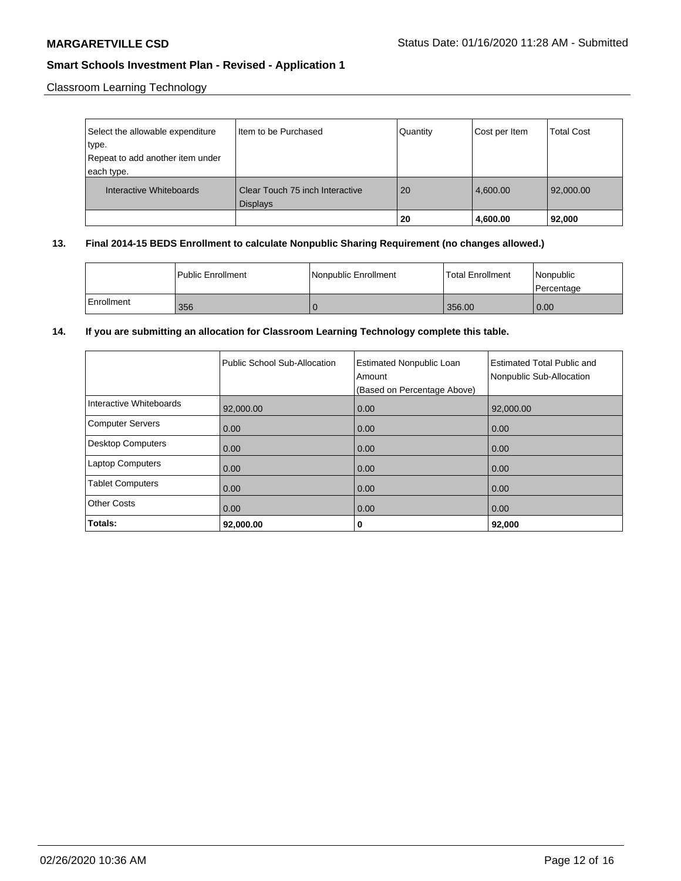Classroom Learning Technology

| Select the allowable expenditure<br>type.<br>Repeat to add another item under<br>each type. | Item to be Purchased                               | Quantity | Cost per Item | <b>Total Cost</b> |
|---------------------------------------------------------------------------------------------|----------------------------------------------------|----------|---------------|-------------------|
| Interactive Whiteboards                                                                     | Clear Touch 75 inch Interactive<br><b>Displays</b> | 20       | 4,600.00      | 92,000.00         |
|                                                                                             |                                                    | 20       | 4,600.00      | 92,000            |

#### **13. Final 2014-15 BEDS Enrollment to calculate Nonpublic Sharing Requirement (no changes allowed.)**

|            | Public Enrollment | Nonpublic Enrollment | Total Enrollment | Nonpublic<br>l Percentage |
|------------|-------------------|----------------------|------------------|---------------------------|
| Enrollment | 356               |                      | 356.00           | 0.00                      |

## **14. If you are submitting an allocation for Classroom Learning Technology complete this table.**

|                         | Public School Sub-Allocation | <b>Estimated Nonpublic Loan</b><br>Amount<br>(Based on Percentage Above) | <b>Estimated Total Public and</b><br>Nonpublic Sub-Allocation |
|-------------------------|------------------------------|--------------------------------------------------------------------------|---------------------------------------------------------------|
| Interactive Whiteboards | 92,000.00                    | 0.00                                                                     | 92,000.00                                                     |
| Computer Servers        | 0.00                         | 0.00                                                                     | 0.00                                                          |
| Desktop Computers       | 0.00                         | 0.00                                                                     | 0.00                                                          |
| <b>Laptop Computers</b> | 0.00                         | 0.00                                                                     | 0.00                                                          |
| <b>Tablet Computers</b> | 0.00                         | 0.00                                                                     | 0.00                                                          |
| <b>Other Costs</b>      | 0.00                         | 0.00                                                                     | 0.00                                                          |
| Totals:                 | 92,000.00                    | 0                                                                        | 92,000                                                        |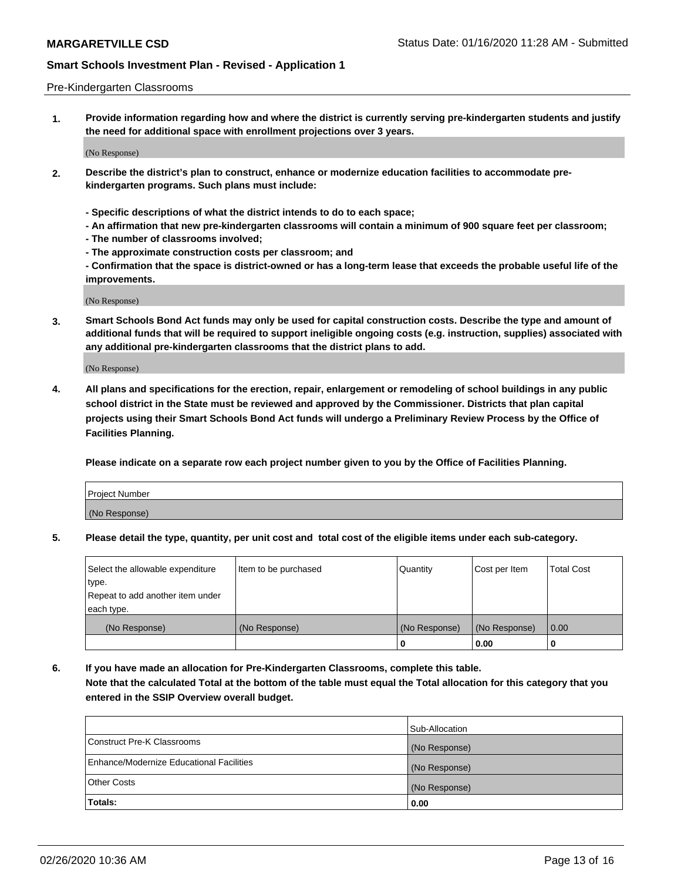#### Pre-Kindergarten Classrooms

**1. Provide information regarding how and where the district is currently serving pre-kindergarten students and justify the need for additional space with enrollment projections over 3 years.**

(No Response)

- **2. Describe the district's plan to construct, enhance or modernize education facilities to accommodate prekindergarten programs. Such plans must include:**
	- **Specific descriptions of what the district intends to do to each space;**
	- **An affirmation that new pre-kindergarten classrooms will contain a minimum of 900 square feet per classroom;**
	- **The number of classrooms involved;**
	- **The approximate construction costs per classroom; and**
	- **Confirmation that the space is district-owned or has a long-term lease that exceeds the probable useful life of the improvements.**

(No Response)

**3. Smart Schools Bond Act funds may only be used for capital construction costs. Describe the type and amount of additional funds that will be required to support ineligible ongoing costs (e.g. instruction, supplies) associated with any additional pre-kindergarten classrooms that the district plans to add.**

(No Response)

**4. All plans and specifications for the erection, repair, enlargement or remodeling of school buildings in any public school district in the State must be reviewed and approved by the Commissioner. Districts that plan capital projects using their Smart Schools Bond Act funds will undergo a Preliminary Review Process by the Office of Facilities Planning.**

**Please indicate on a separate row each project number given to you by the Office of Facilities Planning.**

| Project Number |  |
|----------------|--|
| (No Response)  |  |
|                |  |

**5. Please detail the type, quantity, per unit cost and total cost of the eligible items under each sub-category.**

| Select the allowable expenditure | Item to be purchased | Quantity      | Cost per Item | <b>Total Cost</b> |
|----------------------------------|----------------------|---------------|---------------|-------------------|
| type.                            |                      |               |               |                   |
| Repeat to add another item under |                      |               |               |                   |
| each type.                       |                      |               |               |                   |
| (No Response)                    | (No Response)        | (No Response) | (No Response) | 0.00              |
|                                  |                      | U             | 0.00          |                   |

**6. If you have made an allocation for Pre-Kindergarten Classrooms, complete this table. Note that the calculated Total at the bottom of the table must equal the Total allocation for this category that you entered in the SSIP Overview overall budget.**

|                                          | Sub-Allocation |
|------------------------------------------|----------------|
| Construct Pre-K Classrooms               | (No Response)  |
| Enhance/Modernize Educational Facilities | (No Response)  |
| <b>Other Costs</b>                       | (No Response)  |
| Totals:                                  | 0.00           |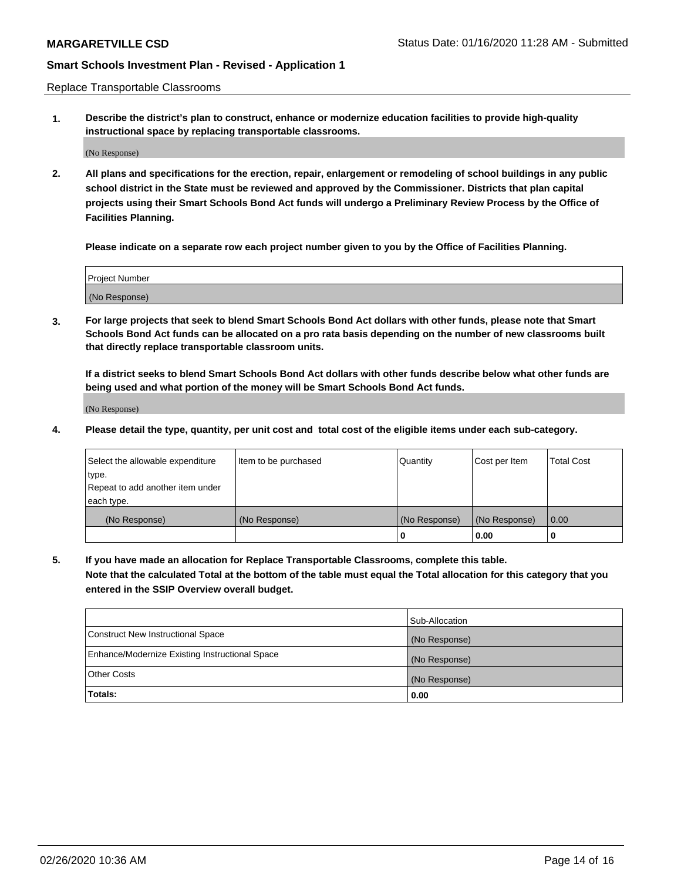Replace Transportable Classrooms

**1. Describe the district's plan to construct, enhance or modernize education facilities to provide high-quality instructional space by replacing transportable classrooms.**

(No Response)

**2. All plans and specifications for the erection, repair, enlargement or remodeling of school buildings in any public school district in the State must be reviewed and approved by the Commissioner. Districts that plan capital projects using their Smart Schools Bond Act funds will undergo a Preliminary Review Process by the Office of Facilities Planning.**

**Please indicate on a separate row each project number given to you by the Office of Facilities Planning.**

| Project Number |  |
|----------------|--|
|                |  |
|                |  |
|                |  |
|                |  |
| (No Response)  |  |
|                |  |
|                |  |
|                |  |

**3. For large projects that seek to blend Smart Schools Bond Act dollars with other funds, please note that Smart Schools Bond Act funds can be allocated on a pro rata basis depending on the number of new classrooms built that directly replace transportable classroom units.**

**If a district seeks to blend Smart Schools Bond Act dollars with other funds describe below what other funds are being used and what portion of the money will be Smart Schools Bond Act funds.**

(No Response)

**4. Please detail the type, quantity, per unit cost and total cost of the eligible items under each sub-category.**

| Select the allowable expenditure | Item to be purchased | Quantity      | Cost per Item | Total Cost |
|----------------------------------|----------------------|---------------|---------------|------------|
| ∣type.                           |                      |               |               |            |
| Repeat to add another item under |                      |               |               |            |
| each type.                       |                      |               |               |            |
| (No Response)                    | (No Response)        | (No Response) | (No Response) | 0.00       |
|                                  |                      | u             | 0.00          |            |

**5. If you have made an allocation for Replace Transportable Classrooms, complete this table. Note that the calculated Total at the bottom of the table must equal the Total allocation for this category that you entered in the SSIP Overview overall budget.**

|                                                | Sub-Allocation |
|------------------------------------------------|----------------|
| Construct New Instructional Space              | (No Response)  |
| Enhance/Modernize Existing Instructional Space | (No Response)  |
| Other Costs                                    | (No Response)  |
| Totals:                                        | 0.00           |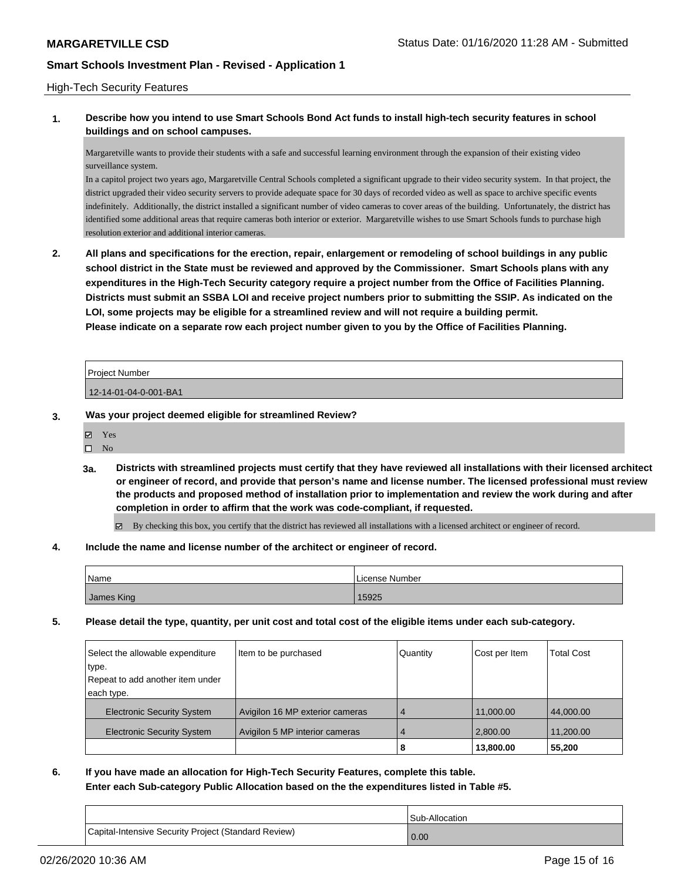#### High-Tech Security Features

## **1. Describe how you intend to use Smart Schools Bond Act funds to install high-tech security features in school buildings and on school campuses.**

Margaretville wants to provide their students with a safe and successful learning environment through the expansion of their existing video surveillance system.

In a capitol project two years ago, Margaretville Central Schools completed a significant upgrade to their video security system. In that project, the district upgraded their video security servers to provide adequate space for 30 days of recorded video as well as space to archive specific events indefinitely. Additionally, the district installed a significant number of video cameras to cover areas of the building. Unfortunately, the district has identified some additional areas that require cameras both interior or exterior. Margaretville wishes to use Smart Schools funds to purchase high resolution exterior and additional interior cameras.

**2. All plans and specifications for the erection, repair, enlargement or remodeling of school buildings in any public school district in the State must be reviewed and approved by the Commissioner. Smart Schools plans with any expenditures in the High-Tech Security category require a project number from the Office of Facilities Planning. Districts must submit an SSBA LOI and receive project numbers prior to submitting the SSIP. As indicated on the LOI, some projects may be eligible for a streamlined review and will not require a building permit. Please indicate on a separate row each project number given to you by the Office of Facilities Planning.**

| <b>Project Number</b> |  |
|-----------------------|--|
| 12-14-01-04-0-001-BA1 |  |

#### **3. Was your project deemed eligible for streamlined Review?**

Yes

 $\square$  No

**3a. Districts with streamlined projects must certify that they have reviewed all installations with their licensed architect or engineer of record, and provide that person's name and license number. The licensed professional must review the products and proposed method of installation prior to implementation and review the work during and after completion in order to affirm that the work was code-compliant, if requested.**

By checking this box, you certify that the district has reviewed all installations with a licensed architect or engineer of record.

#### **4. Include the name and license number of the architect or engineer of record.**

| Name       | License Number |
|------------|----------------|
| James King | 15925          |

**5. Please detail the type, quantity, per unit cost and total cost of the eligible items under each sub-category.**

| Select the allowable expenditure  | Item to be purchased            | Quantity       | Cost per Item | Total Cost |
|-----------------------------------|---------------------------------|----------------|---------------|------------|
| type.                             |                                 |                |               |            |
| Repeat to add another item under  |                                 |                |               |            |
| each type.                        |                                 |                |               |            |
| <b>Electronic Security System</b> | Avigilon 16 MP exterior cameras | $\overline{4}$ | 11.000.00     | 44,000.00  |
| <b>Electronic Security System</b> | Avigilon 5 MP interior cameras  | 4              | 2,800.00      | 11,200.00  |
|                                   |                                 | 8              | 13,800.00     | 55,200     |

## **6. If you have made an allocation for High-Tech Security Features, complete this table. Enter each Sub-category Public Allocation based on the the expenditures listed in Table #5.**

|                                                      | Sub-Allocation    |
|------------------------------------------------------|-------------------|
| Capital-Intensive Security Project (Standard Review) | $\overline{0.00}$ |